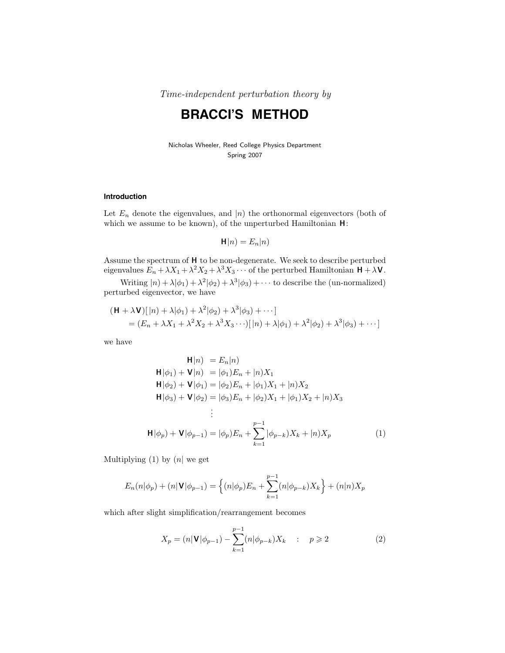Time-independent perturbation theory by

# **BRACCI'S METHOD**

Nicholas Wheeler, Reed College Physics Department Spring 2007

### **Introduction**

Let  $E_n$  denote the eigenvalues, and  $|n\rangle$  the orthonormal eigenvectors (both of which we assume to be known), of the unperturbed Hamiltonian **H**:

$$
\mathsf{H}|n) = E_n|n)
$$

Assume the spectrum of **H** to be non-degenerate. We seek to describe perturbed eigenvalues  $E_n + \lambda X_1 + \lambda^2 X_2 + \lambda^3 X_3 \cdots$  of the perturbed Hamiltonian  $H + \lambda V$ .

Writing  $|n\rangle + \lambda |\phi_1\rangle + \lambda^2 |\phi_2\rangle + \lambda^3 |\phi_3\rangle + \cdots$  to describe the (un-normalized) perturbed eigenvector, we have

$$
(\mathbf{H} + \lambda \mathbf{V})[n] + \lambda |\phi_1\rangle + \lambda^2 |\phi_2\rangle + \lambda^3 |\phi_3\rangle + \cdots]
$$
  
=  $(E_n + \lambda X_1 + \lambda^2 X_2 + \lambda^3 X_3 \cdots)[n] + \lambda |\phi_1\rangle + \lambda^2 |\phi_2\rangle + \lambda^3 |\phi_3\rangle + \cdots]$ 

we have

$$
\mathbf{H}|n\rangle = E_n|n\rangle
$$
  
\n
$$
\mathbf{H}|\phi_1\rangle + \mathbf{V}|n\rangle = |\phi_1\rangle E_n + |n\rangle X_1
$$
  
\n
$$
\mathbf{H}|\phi_2\rangle + \mathbf{V}|\phi_1\rangle = |\phi_2\rangle E_n + |\phi_1\rangle X_1 + |n\rangle X_2
$$
  
\n
$$
\mathbf{H}|\phi_3\rangle + \mathbf{V}|\phi_2\rangle = |\phi_3\rangle E_n + |\phi_2\rangle X_1 + |\phi_1\rangle X_2 + |n\rangle X_3
$$
  
\n
$$
\vdots
$$
  
\n
$$
\mathbf{H}|\phi_p\rangle + \mathbf{V}|\phi_{p-1}\rangle = |\phi_p\rangle E_n + \sum_{k=1}^{p-1} |\phi_{p-k}\rangle X_k + |n\rangle X_p
$$
  
\n(1)

Multiplying (1) by (*n*| we get

$$
E_n(n|\phi_p) + (n|\mathbf{V}|\phi_{p-1}) = \left\{ (n|\phi_p)E_n + \sum_{k=1}^{p-1} (n|\phi_{p-k})X_k \right\} + (n|n)X_p
$$

which after slight simplification/rearrangement becomes

$$
X_p = (n|\mathbf{V}|\phi_{p-1}) - \sum_{k=1}^{p-1} (n|\phi_{p-k})X_k \quad : \quad p \geqslant 2
$$
 (2)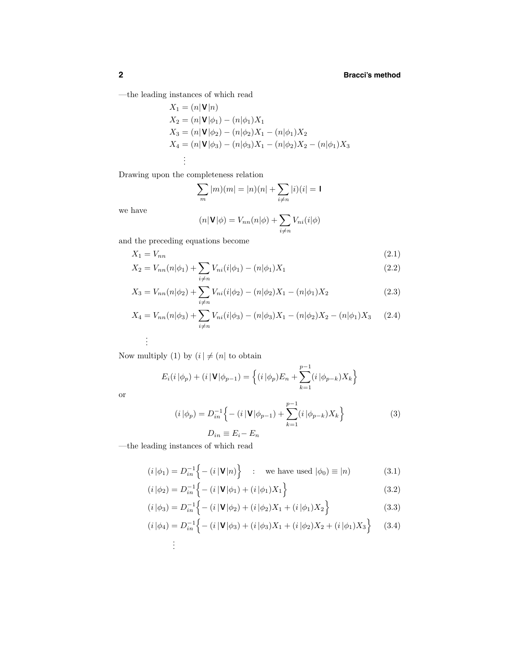—the leading instances of which read

$$
X_1 = (n|\mathbf{V}|n)
$$
  
\n
$$
X_2 = (n|\mathbf{V}|\phi_1) - (n|\phi_1)X_1
$$
  
\n
$$
X_3 = (n|\mathbf{V}|\phi_2) - (n|\phi_2)X_1 - (n|\phi_1)X_2
$$
  
\n
$$
X_4 = (n|\mathbf{V}|\phi_3) - (n|\phi_3)X_1 - (n|\phi_2)X_2 - (n|\phi_1)X_3
$$
  
\n
$$
\vdots
$$

Drawing upon the completeness relation

$$
\sum_{m} |m)(m| = |n)(n| + \sum_{i \neq n} |i)(i| = 1
$$

we have

$$
(n|\mathbf{V}|\phi) = V_{nn}(n|\phi) + \sum_{i \neq n} V_{ni}(i|\phi)
$$

and the preceding equations become

$$
X_1 = V_{nn} \tag{2.1}
$$

$$
X_2 = V_{nn}(n|\phi_1) + \sum_{i \neq n} V_{ni}(i|\phi_1) - (n|\phi_1)X_1
$$
\n(2.2)

$$
X_3 = V_{nn}(n|\phi_2) + \sum_{i \neq n} V_{ni}(i|\phi_2) - (n|\phi_2)X_1 - (n|\phi_1)X_2
$$
\n(2.3)

$$
X_4 = V_{nn}(n|\phi_3) + \sum_{i \neq n} V_{ni}(i|\phi_3) - (n|\phi_3)X_1 - (n|\phi_2)X_2 - (n|\phi_1)X_3 \tag{2.4}
$$

Now multiply (1) by  $(i \,|\, \neq (n]$  to obtain

$$
E_i(i|\phi_p) + (i|\mathbf{V}|\phi_{p-1}) = \left\{ (i|\phi_p)E_n + \sum_{k=1}^{p-1} (i|\phi_{p-k})X_k \right\}
$$

or

. . .

$$
(i|\phi_p) = D_{in}^{-1} \Big\{ - (i|\mathbf{V}|\phi_{p-1}) + \sum_{k=1}^{p-1} (i|\phi_{p-k}) X_k \Big\}
$$
  

$$
D_{in} \equiv E_i - E_n
$$
 (3)

—the leading instances of which read

$$
(i|\phi_1) = D_{in}^{-1}\left\{- (i|\mathbf{V}|n) \right\} \quad : \quad \text{we have used } |\phi_0) \equiv |n\rangle \tag{3.1}
$$

$$
(i|\phi_2) = D_{in}^{-1} \left\{ - (i|\mathbf{V}|\phi_1) + (i|\phi_1)X_1 \right\}
$$
\n(3.2)

$$
(i|\phi_3) = D_{in}^{-1} \Big\{ - (i|\mathbf{V}|\phi_2) + (i|\phi_2)X_1 + (i|\phi_1)X_2 \Big\}
$$
 (3.3)

$$
(i|\phi_4) = D_{in}^{-1} \Big\{ - (i|\mathbf{V}|\phi_3) + (i|\phi_3)X_1 + (i|\phi_2)X_2 + (i|\phi_1)X_3 \Big\} \qquad (3.4)
$$
  
...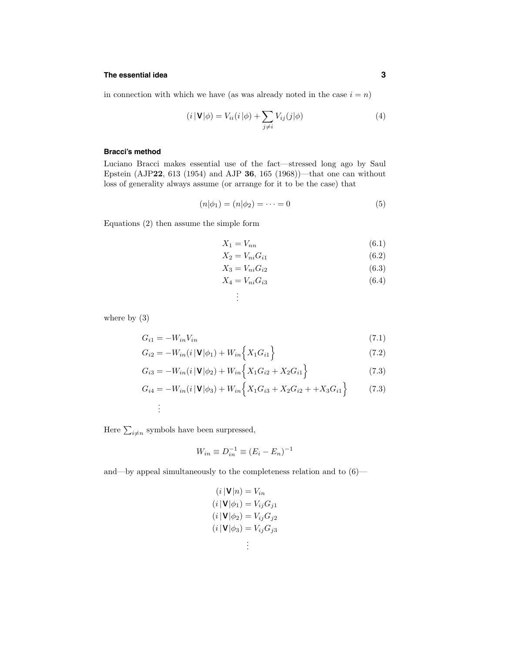## **The essential idea 3**

in connection with which we have (as was already noted in the case  $i = n$ )

$$
(i \left| \mathbf{V} \right| \phi) = V_{ii}(i \left| \phi \right) + \sum_{j \neq i} V_{ij}(j \left| \phi \right)
$$
\n
$$
\tag{4}
$$

#### **Bracci's method**

Luciano Bracci makes essential use of the fact—stressed long ago by Saul Epstein (AJP**22**, 613 (1954) and AJP **36**, 165 (1968))—that one can without loss of generality always assume (or arrange for it to be the case) that

. . .

$$
(n|\phi_1) = (n|\phi_2) = \dots = 0 \tag{5}
$$

Equations (2) then assume the simple form

$$
X_1 = V_{nn} \tag{6.1}
$$

$$
X_2 = V_{ni} G_{i1} \tag{6.2}
$$

$$
X_3 = V_{ni} G_{i2} \tag{6.3}
$$

$$
X_4 = V_{ni} G_{i3} \tag{6.4}
$$

where by (3)

$$
G_{i1} = -W_{in}V_{in} \tag{7.1}
$$

$$
G_{i2} = -W_{in}(i|\mathbf{V}|\phi_1) + W_{in}\left\{X_1G_{i1}\right\}
$$
\n(7.2)

$$
G_{i3} = -W_{in}(i | \mathbf{V} | \phi_2) + W_{in} \left\{ X_1 G_{i2} + X_2 G_{i1} \right\}
$$
 (7.3)

$$
G_{i4} = -W_{in}(i|\mathbf{V}|\phi_3) + W_{in}\Big\{X_1G_{i3} + X_2G_{i2} + +X_3G_{i1}\Big\}
$$
(7.3)

. . .

Here  $\sum_{i \neq n}$  symbols have been surpressed,

$$
W_{in} \equiv D_{in}^{-1} \equiv (E_i - E_n)^{-1}
$$

and—by appeal simultaneously to the completeness relation and to  $(6)$ —

$$
(i | \mathbf{V} | n) = V_{in}
$$
  
\n
$$
(i | \mathbf{V} | \phi_1) = V_{ij} G_{j1}
$$
  
\n
$$
(i | \mathbf{V} | \phi_2) = V_{ij} G_{j2}
$$
  
\n
$$
(i | \mathbf{V} | \phi_3) = V_{ij} G_{j3}
$$
  
\n
$$
\vdots
$$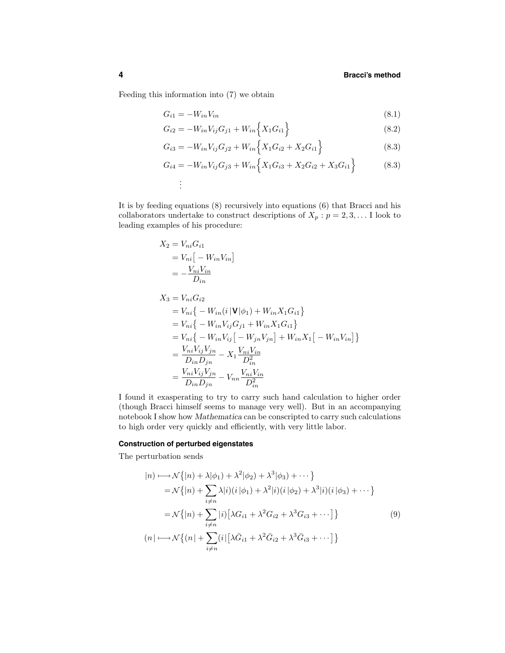Feeding this information into (7) we obtain

$$
G_{i1} = -W_{in}V_{in} \tag{8.1}
$$

$$
G_{i2} = -W_{in}V_{ij}G_{j1} + W_{in}\left\{X_1G_{i1}\right\} \tag{8.2}
$$

$$
G_{i3} = -W_{in}V_{ij}G_{j2} + W_{in}\left\{X_1G_{i2} + X_2G_{i1}\right\}
$$
\n(8.3)

$$
G_{i4} = -W_{in}V_{ij}G_{j3} + W_{in}\Big\{X_1G_{i3} + X_2G_{i2} + X_3G_{i1}\Big\}
$$
(8.3)  
...

It is by feeding equations (8) recursively into equations (6) that Bracci and his collaborators undertake to construct descriptions of  $X_p : p = 2, 3, \ldots$  I look to leading examples of his procedure:

$$
X_2 = V_{ni} G_{i1}
$$
  
=  $V_{ni} [-W_{in} V_{in}]$   
=  $-\frac{V_{ni} V_{in}}{D_{in}}$ 

$$
X_3 = V_{ni}G_{i2}
$$
  
=  $V_{ni} \{-W_{in}(i | \mathbf{V} | \phi_1) + W_{in} X_1 G_{i1}\}$   
=  $V_{ni} \{-W_{in} V_{ij} G_{j1} + W_{in} X_1 G_{i1}\}$   
=  $V_{ni} \{-W_{in} V_{ij} [-W_{jn} V_{jn}] + W_{in} X_1 [-W_{in} V_{in}] \}$   
=  $\frac{V_{ni} V_{ij} V_{jn}}{D_{in} D_{jn}} - X_1 \frac{V_{ni} V_{in}}{D_{in}^2}$   
=  $\frac{V_{ni} V_{ij} V_{jn}}{D_{in} D_{jn}} - V_{nn} \frac{V_{ni} V_{in}}{D_{in}^2}$ 

I found it exasperating to try to carry such hand calculation to higher order (though Bracci himself seems to manage very well). But in an accompanying notebook I show how *Mathematica* can be conscripted to carry such calculations to high order very quickly and efficiently, with very little labor.

### **Construction of perturbed eigenstates**

The perturbation sends

$$
|n\rangle \longmapsto \mathcal{N}\{|n\rangle + \lambda|\phi_1\rangle + \lambda^2|\phi_2\rangle + \lambda^3|\phi_3\rangle + \cdots
$$
  
\n
$$
= \mathcal{N}\{|n\rangle + \sum_{i \neq n} \lambda|i\rangle(i|\phi_1\rangle + \lambda^2|i\rangle(i|\phi_2\rangle + \lambda^3|i\rangle(i|\phi_3\rangle + \cdots)
$$
  
\n
$$
= \mathcal{N}\{|n\rangle + \sum_{i \neq n} |i\rangle[\lambda G_{i1} + \lambda^2 G_{i2} + \lambda^3 G_{i3} + \cdots]
$$
  
\n
$$
(n\rangle \longmapsto \mathcal{N}\{(n\rangle + \sum_{i \neq n} |i\rangle[\lambda \bar{G}_{i1} + \lambda^2 \bar{G}_{i2} + \lambda^3 \bar{G}_{i3} + \cdots]\}
$$
  
\n(9)